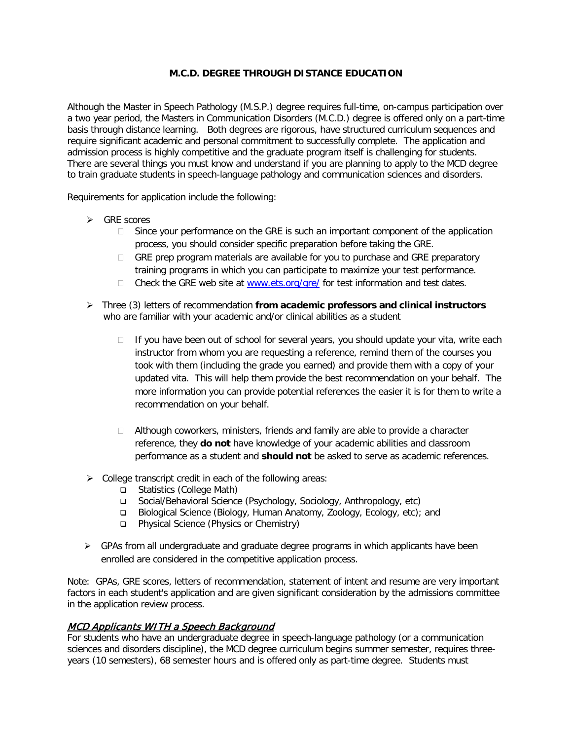#### **M.C.D. DEGREE THROUGH DISTANCE EDUCATION**

Although the Master in Speech Pathology (M.S.P.) degree requires full-time, on-campus participation over a two year period, the Masters in Communication Disorders (M.C.D.) degree is offered only on a part-time basis through distance learning. Both degrees are rigorous, have structured curriculum sequences and require significant academic and personal commitment to successfully complete. The application and admission process is highly competitive and the graduate program itself is challenging for students. There are several things you must know and understand if you are planning to apply to the MCD degree to train graduate students in speech-language pathology and communication sciences and disorders.

Requirements for application include the following:

- $\triangleright$  GRE scores
	- $\Box$  Since your performance on the GRE is such an important component of the application process, you should consider specific preparation before taking the GRE.
	- GRE prep program materials are available for you to purchase and GRE preparatory training programs in which you can participate to maximize your test performance.
	- $\Box$  Check the GRE web site at [www.ets.org/gre/](http://www.ets.org/gre/) for test information and test dates.
- Three (3) letters of recommendation **from academic professors and clinical instructors** who are familiar with your academic and/or clinical abilities as a student
	- $\Box$  If you have been out of school for several years, you should update your vita, write each instructor from whom you are requesting a reference, remind them of the courses you took with them (including the grade you earned) and provide them with a copy of your updated vita. This will help them provide the best recommendation on your behalf. The more information you can provide potential references the easier it is for them to write a recommendation on your behalf.
	- $\Box$  Although coworkers, ministers, friends and family are able to provide a character reference, they **do not** have knowledge of your academic abilities and classroom performance as a student and **should not** be asked to serve as academic references.
- $\triangleright$  College transcript credit in each of the following areas:
	- □ Statistics (College Math)
	- Social/Behavioral Science (Psychology, Sociology, Anthropology, etc)
	- Biological Science (Biology, Human Anatomy, Zoology, Ecology, etc); and
	- Physical Science (Physics or Chemistry)
- $\triangleright$  GPAs from all undergraduate and graduate degree programs in which applicants have been enrolled are considered in the competitive application process.

Note: GPAs, GRE scores, letters of recommendation, statement of intent and resume are very important factors in each student's application and are given significant consideration by the admissions committee in the application review process.

# MCD Applicants WITH a Speech Background

For students who have an undergraduate degree in speech-language pathology (or a communication sciences and disorders discipline), the MCD degree curriculum begins summer semester, requires threeyears (10 semesters), 68 semester hours and is offered only as part-time degree. Students must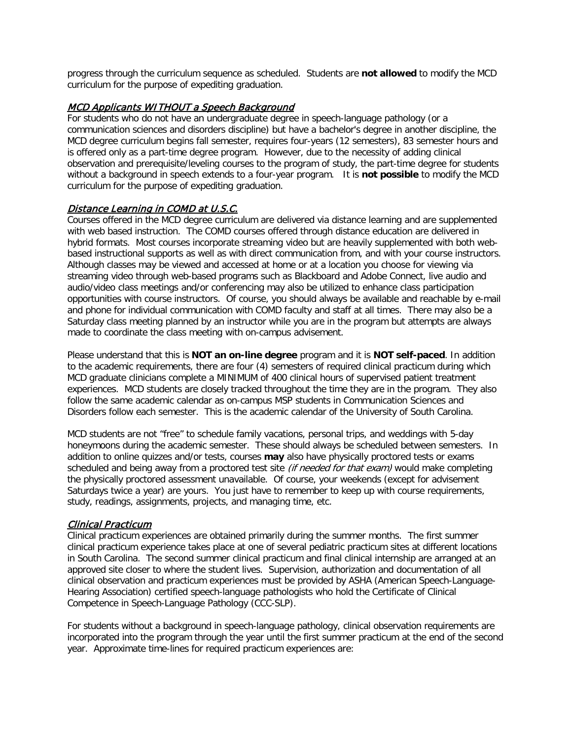progress through the curriculum sequence as scheduled. Students are **not allowed** to modify the MCD curriculum for the purpose of expediting graduation.

#### MCD Applicants WITHOUT a Speech Background

For students who do not have an undergraduate degree in speech-language pathology (or a communication sciences and disorders discipline) but have a bachelor's degree in another discipline, the MCD degree curriculum begins fall semester, requires four-years (12 semesters), 83 semester hours and is offered only as a part-time degree program. However, due to the necessity of adding clinical observation and prerequisite/leveling courses to the program of study, the part-time degree for students without a background in speech extends to a four-year program. It is **not possible** to modify the MCD curriculum for the purpose of expediting graduation.

# Distance Learning in COMD at U.S.C.

Courses offered in the MCD degree curriculum are delivered via distance learning and are supplemented with web based instruction. The COMD courses offered through distance education are delivered in hybrid formats. Most courses incorporate streaming video but are heavily supplemented with both webbased instructional supports as well as with direct communication from, and with your course instructors. Although classes may be viewed and accessed at home or at a location you choose for viewing via streaming video through web-based programs such as Blackboard and Adobe Connect, live audio and audio/video class meetings and/or conferencing may also be utilized to enhance class participation opportunities with course instructors. Of course, you should always be available and reachable by e-mail and phone for individual communication with COMD faculty and staff at all times. There may also be a Saturday class meeting planned by an instructor while you are in the program but attempts are always made to coordinate the class meeting with on-campus advisement.

Please understand that this is **NOT an on-line degree** program and it is **NOT self-paced**. In addition to the academic requirements, there are four (4) semesters of required clinical practicum during which MCD graduate clinicians complete a MINIMUM of 400 clinical hours of supervised patient treatment experiences. MCD students are closely tracked throughout the time they are in the program. They also follow the same academic calendar as on-campus MSP students in Communication Sciences and Disorders follow each semester. This is the academic calendar of the University of South Carolina.

MCD students are not "free" to schedule family vacations, personal trips, and weddings with 5-day honeymoons during the academic semester. These should always be scheduled between semesters. In addition to online quizzes and/or tests, courses **may** also have physically proctored tests or exams scheduled and being away from a proctored test site *(if needed for that exam)* would make completing the physically proctored assessment unavailable. Of course, your weekends (except for advisement Saturdays twice a year) are yours. You just have to remember to keep up with course requirements, study, readings, assignments, projects, and managing time, etc.

#### Clinical Practicum

Clinical practicum experiences are obtained primarily during the summer months. The first summer clinical practicum experience takes place at one of several pediatric practicum sites at different locations in South Carolina. The second summer clinical practicum and final clinical internship are arranged at an approved site closer to where the student lives. Supervision, authorization and documentation of all clinical observation and practicum experiences must be provided by ASHA (American Speech-Language-Hearing Association) certified speech-language pathologists who hold the Certificate of Clinical Competence in Speech-Language Pathology (CCC-SLP).

For students without a background in speech-language pathology, clinical observation requirements are incorporated into the program through the year until the first summer practicum at the end of the second year. Approximate time-lines for required practicum experiences are: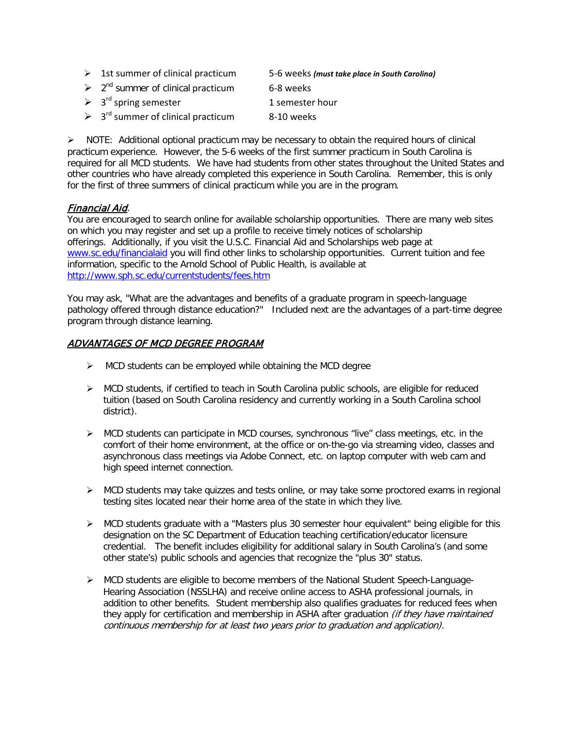| $\geq$ 1st summer of clinical practicum             | 5-6 weeks (must take place in South Carolina) |
|-----------------------------------------------------|-----------------------------------------------|
| $\geq 2^{nd}$ summer of clinical practicum          | 6-8 weeks                                     |
| $\geq 3^{rd}$ spring semester                       | 1 semester hour                               |
| $\geq$ 3 <sup>rd</sup> summer of clinical practicum | 8-10 weeks                                    |

 $\triangleright$  NOTE: Additional optional practicum may be necessary to obtain the required hours of clinical practicum experience. However, the 5-6 weeks of the first summer practicum in South Carolina is required for all MCD students. We have had students from other states throughout the United States and other countries who have already completed this experience in South Carolina. Remember, this is only for the first of three summers of clinical practicum while you are in the program.

# Financial Aid.

You are encouraged to search online for available scholarship opportunities. There are many web sites on which you may register and set up a profile to receive timely notices of scholarship offerings. Additionally, if you visit the U.S.C. Financial Aid and Scholarships web page at [www.sc.edu/financialaid](http://www.sc.edu/financialaid) you will find other links to scholarship opportunities. Current tuition and fee information, specific to the Arnold School of Public Health, is available at <http://www.sph.sc.edu/currentstudents/fees.htm>

You may ask, "What are the advantages and benefits of a graduate program in speech-language pathology offered through distance education?" Included next are the advantages of a part-time degree program through distance learning.

# ADVANTAGES OF MCD DEGREE PROGRAM

- $\triangleright$  MCD students can be employed while obtaining the MCD degree
- $\triangleright$  MCD students, if certified to teach in South Carolina public schools, are eligible for reduced tuition (based on South Carolina residency and currently working in a South Carolina school district).
- $\triangleright$  MCD students can participate in MCD courses, synchronous "live" class meetings, etc. in the comfort of their home environment, at the office or on-the-go via streaming video, classes and asynchronous class meetings via Adobe Connect, etc. on laptop computer with web cam and high speed internet connection.
- $\triangleright$  MCD students may take quizzes and tests online, or may take some proctored exams in regional testing sites located near their home area of the state in which they live.
- $\triangleright$  MCD students graduate with a "Masters plus 30 semester hour equivalent" being eligible for this designation on the SC Department of Education teaching certification/educator licensure credential. The benefit includes eligibility for additional salary in South Carolina's (and some other state's) public schools and agencies that recognize the "plus 30" status.
- MCD students are eligible to become members of the National Student Speech-Language-Hearing Association (NSSLHA) and receive online access to ASHA professional journals, in addition to other benefits. Student membership also qualifies graduates for reduced fees when they apply for certification and membership in ASHA after graduation *(if they have maintained* continuous membership for at least two years prior to graduation and application).